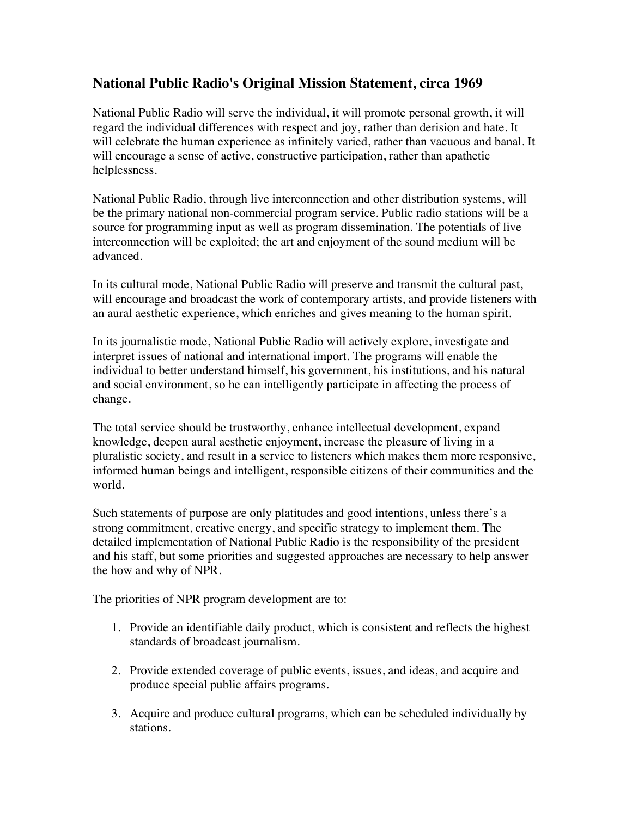## **National Public Radio's Original Mission Statement, circa 1969**

National Public Radio will serve the individual, it will promote personal growth, it will regard the individual differences with respect and joy, rather than derision and hate. It will celebrate the human experience as infinitely varied, rather than vacuous and banal. It will encourage a sense of active, constructive participation, rather than apathetic helplessness.

National Public Radio, through live interconnection and other distribution systems, will be the primary national non-commercial program service. Public radio stations will be a source for programming input as well as program dissemination. The potentials of live interconnection will be exploited; the art and enjoyment of the sound medium will be advanced.

In its cultural mode, National Public Radio will preserve and transmit the cultural past, will encourage and broadcast the work of contemporary artists, and provide listeners with an aural aesthetic experience, which enriches and gives meaning to the human spirit.

In its journalistic mode, National Public Radio will actively explore, investigate and interpret issues of national and international import. The programs will enable the individual to better understand himself, his government, his institutions, and his natural and social environment, so he can intelligently participate in affecting the process of change.

The total service should be trustworthy, enhance intellectual development, expand knowledge, deepen aural aesthetic enjoyment, increase the pleasure of living in a pluralistic society, and result in a service to listeners which makes them more responsive, informed human beings and intelligent, responsible citizens of their communities and the world.

Such statements of purpose are only platitudes and good intentions, unless there's a strong commitment, creative energy, and specific strategy to implement them. The detailed implementation of National Public Radio is the responsibility of the president and his staff, but some priorities and suggested approaches are necessary to help answer the how and why of NPR.

The priorities of NPR program development are to:

- 1. Provide an identifiable daily product, which is consistent and reflects the highest standards of broadcast journalism.
- 2. Provide extended coverage of public events, issues, and ideas, and acquire and produce special public affairs programs.
- 3. Acquire and produce cultural programs, which can be scheduled individually by stations.